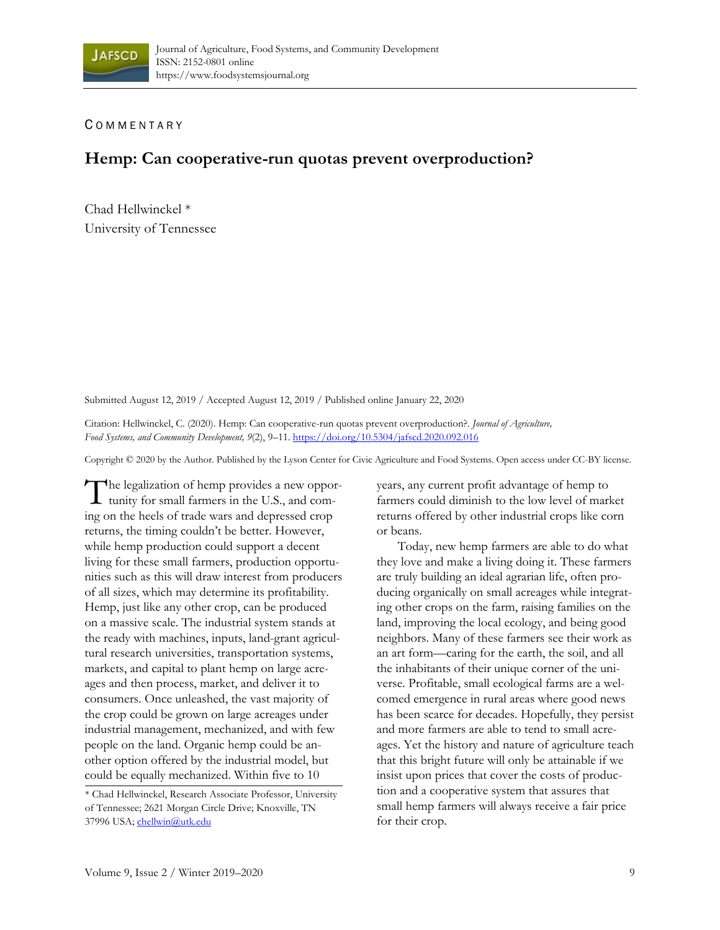## C OMMENTARY

## **Hemp: Can cooperative-run quotas prevent overproduction?**

Chad Hellwinckel \* University of Tennessee

Submitted August 12, 2019 / Accepted August 12, 2019 / Published online January 22, 2020

Citation: Hellwinckel, C. (2020). Hemp: Can cooperative-run quotas prevent overproduction?. *Journal of Agriculture, Food Systems, and Community Development, 9*(2), 9–11. https://doi.org/10.5304/jafscd.2020.092.016

Copyright © 2020 by the Author. Published by the Lyson Center for Civic Agriculture and Food Systems. Open access under CC-BY license.

The legalization of hemp provides a new oppor-The legalization of hemp provides a new opportunity for small farmers in the U.S., and coming on the heels of trade wars and depressed crop returns, the timing couldn't be better. However, while hemp production could support a decent living for these small farmers, production opportunities such as this will draw interest from producers of all sizes, which may determine its profitability. Hemp, just like any other crop, can be produced on a massive scale. The industrial system stands at the ready with machines, inputs, land-grant agricultural research universities, transportation systems, markets, and capital to plant hemp on large acreages and then process, market, and deliver it to consumers. Once unleashed, the vast majority of the crop could be grown on large acreages under industrial management, mechanized, and with few people on the land. Organic hemp could be another option offered by the industrial model, but could be equally mechanized. Within five to 10

years, any current profit advantage of hemp to farmers could diminish to the low level of market returns offered by other industrial crops like corn or beans.

 Today, new hemp farmers are able to do what they love and make a living doing it. These farmers are truly building an ideal agrarian life, often producing organically on small acreages while integrating other crops on the farm, raising families on the land, improving the local ecology, and being good neighbors. Many of these farmers see their work as an art form—caring for the earth, the soil, and all the inhabitants of their unique corner of the universe. Profitable, small ecological farms are a welcomed emergence in rural areas where good news has been scarce for decades. Hopefully, they persist and more farmers are able to tend to small acreages. Yet the history and nature of agriculture teach that this bright future will only be attainable if we insist upon prices that cover the costs of production and a cooperative system that assures that small hemp farmers will always receive a fair price for their crop.

<sup>\*</sup> Chad Hellwinckel, Research Associate Professor, University of Tennessee; 2621 Morgan Circle Drive; Knoxville, TN 37996 USA; chellwin@utk.edu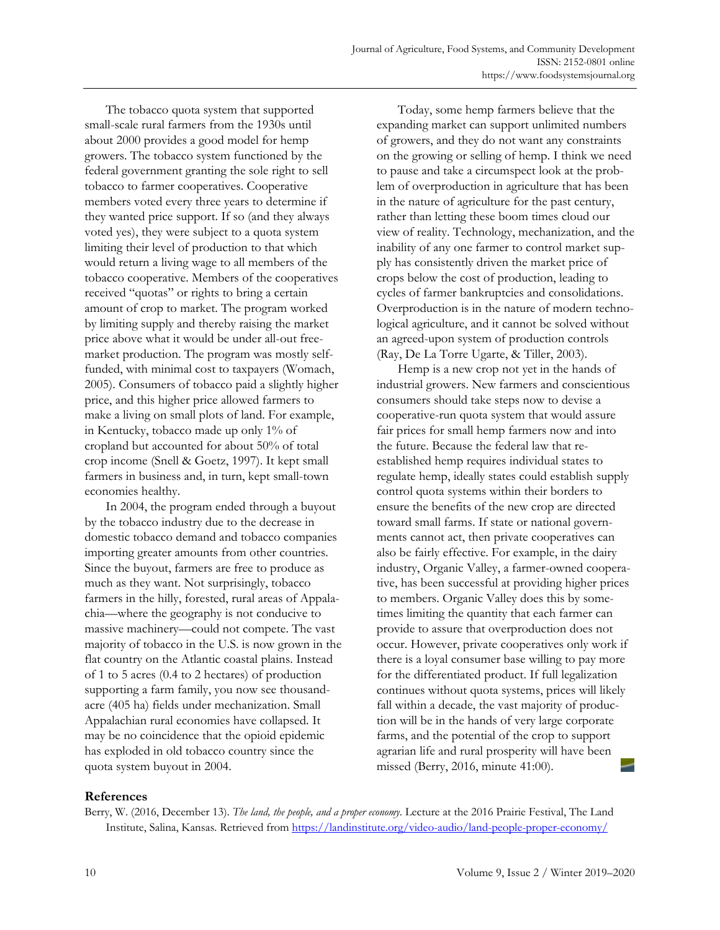The tobacco quota system that supported small-scale rural farmers from the 1930s until about 2000 provides a good model for hemp growers. The tobacco system functioned by the federal government granting the sole right to sell tobacco to farmer cooperatives. Cooperative members voted every three years to determine if they wanted price support. If so (and they always voted yes), they were subject to a quota system limiting their level of production to that which would return a living wage to all members of the tobacco cooperative. Members of the cooperatives received "quotas" or rights to bring a certain amount of crop to market. The program worked by limiting supply and thereby raising the market price above what it would be under all-out freemarket production. The program was mostly selffunded, with minimal cost to taxpayers (Womach, 2005). Consumers of tobacco paid a slightly higher price, and this higher price allowed farmers to make a living on small plots of land. For example, in Kentucky, tobacco made up only 1% of cropland but accounted for about 50% of total crop income (Snell & Goetz, 1997). It kept small farmers in business and, in turn, kept small-town economies healthy.

 In 2004, the program ended through a buyout by the tobacco industry due to the decrease in domestic tobacco demand and tobacco companies importing greater amounts from other countries. Since the buyout, farmers are free to produce as much as they want. Not surprisingly, tobacco farmers in the hilly, forested, rural areas of Appalachia—where the geography is not conducive to massive machinery—could not compete. The vast majority of tobacco in the U.S. is now grown in the flat country on the Atlantic coastal plains. Instead of 1 to 5 acres (0.4 to 2 hectares) of production supporting a farm family, you now see thousandacre (405 ha) fields under mechanization. Small Appalachian rural economies have collapsed. It may be no coincidence that the opioid epidemic has exploded in old tobacco country since the quota system buyout in 2004.

 Today, some hemp farmers believe that the expanding market can support unlimited numbers of growers, and they do not want any constraints on the growing or selling of hemp. I think we need to pause and take a circumspect look at the problem of overproduction in agriculture that has been in the nature of agriculture for the past century, rather than letting these boom times cloud our view of reality. Technology, mechanization, and the inability of any one farmer to control market supply has consistently driven the market price of crops below the cost of production, leading to cycles of farmer bankruptcies and consolidations. Overproduction is in the nature of modern technological agriculture, and it cannot be solved without an agreed-upon system of production controls (Ray, De La Torre Ugarte, & Tiller, 2003).

 Hemp is a new crop not yet in the hands of industrial growers. New farmers and conscientious consumers should take steps now to devise a cooperative-run quota system that would assure fair prices for small hemp farmers now and into the future. Because the federal law that reestablished hemp requires individual states to regulate hemp, ideally states could establish supply control quota systems within their borders to ensure the benefits of the new crop are directed toward small farms. If state or national governments cannot act, then private cooperatives can also be fairly effective. For example, in the dairy industry, Organic Valley, a farmer-owned cooperative, has been successful at providing higher prices to members. Organic Valley does this by sometimes limiting the quantity that each farmer can provide to assure that overproduction does not occur. However, private cooperatives only work if there is a loyal consumer base willing to pay more for the differentiated product. If full legalization continues without quota systems, prices will likely fall within a decade, the vast majority of production will be in the hands of very large corporate farms, and the potential of the crop to support agrarian life and rural prosperity will have been missed (Berry, 2016, minute 41:00).

## **References**

Berry, W. (2016, December 13). *The land, the people, and a proper economy.* Lecture at the 2016 Prairie Festival, The Land Institute, Salina, Kansas. Retrieved from https://landinstitute.org/video-audio/land-people-proper-economy/